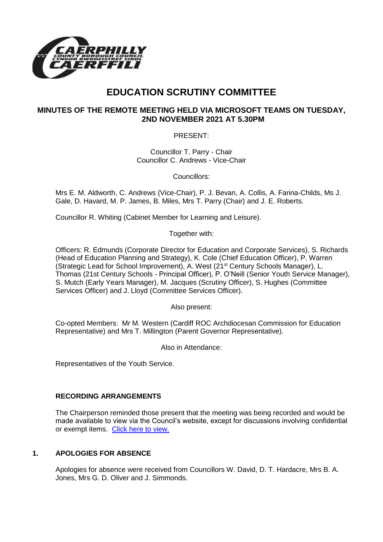

# **EDUCATION SCRUTINY COMMITTEE**

# **MINUTES OF THE REMOTE MEETING HELD VIA MICROSOFT TEAMS ON TUESDAY, 2ND NOVEMBER 2021 AT 5.30PM**

PRESENT:

Councillor T. Parry - Chair Councillor C. Andrews - Vice-Chair

Councillors:

Mrs E. M. Aldworth, C. Andrews (Vice-Chair), P. J. Bevan, A. Collis, A. Farina-Childs, Ms J. Gale, D. Havard, M. P. James, B. Miles, Mrs T. Parry (Chair) and J. E. Roberts.

Councillor R. Whiting (Cabinet Member for Learning and Leisure).

Together with:

Officers: R. Edmunds (Corporate Director for Education and Corporate Services), S. Richards (Head of Education Planning and Strategy), K. Cole (Chief Education Officer), P. Warren (Strategic Lead for School Improvement), A. West (21st Century Schools Manager), L. Thomas (21st Century Schools - Principal Officer), P. O'Neill (Senior Youth Service Manager), S. Mutch (Early Years Manager), M. Jacques (Scrutiny Officer), S. Hughes (Committee Services Officer) and J. Lloyd (Committee Services Officer).

Also present:

Co-opted Members: Mr M. Western (Cardiff ROC Archdiocesan Commission for Education Representative) and Mrs T. Millington (Parent Governor Representative).

Also in Attendance:

Representatives of the Youth Service.

# **RECORDING ARRANGEMENTS**

The Chairperson reminded those present that the meeting was being recorded and would be made available to view via the Council's website, except for discussions involving confidential or exempt items. [Click here to view.](https://www.caerphilly.gov.uk/My-Council/Meetings,-agendas,-minutes-and-reports/Council-meetings)

# **1. APOLOGIES FOR ABSENCE**

Apologies for absence were received from Councillors W. David, D. T. Hardacre, Mrs B. A. Jones, Mrs G. D. Oliver and J. Simmonds.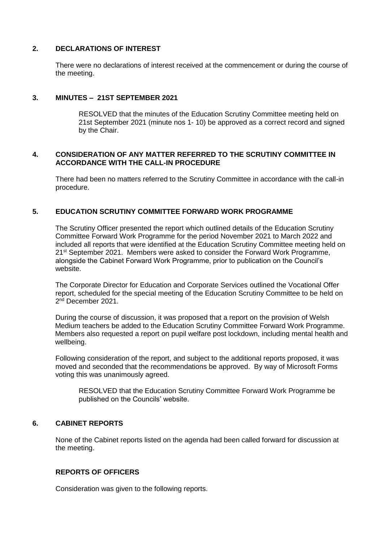## **2. DECLARATIONS OF INTEREST**

There were no declarations of interest received at the commencement or during the course of the meeting.

## **3. MINUTES – 21ST SEPTEMBER 2021**

RESOLVED that the minutes of the Education Scrutiny Committee meeting held on 21st September 2021 (minute nos 1- 10) be approved as a correct record and signed by the Chair.

#### **4. CONSIDERATION OF ANY MATTER REFERRED TO THE SCRUTINY COMMITTEE IN ACCORDANCE WITH THE CALL-IN PROCEDURE**

There had been no matters referred to the Scrutiny Committee in accordance with the call-in procedure.

## **5. EDUCATION SCRUTINY COMMITTEE FORWARD WORK PROGRAMME**

The Scrutiny Officer presented the report which outlined details of the Education Scrutiny Committee Forward Work Programme for the period November 2021 to March 2022 and included all reports that were identified at the Education Scrutiny Committee meeting held on 21<sup>st</sup> September 2021. Members were asked to consider the Forward Work Programme. alongside the Cabinet Forward Work Programme, prior to publication on the Council's website.

The Corporate Director for Education and Corporate Services outlined the Vocational Offer report, scheduled for the special meeting of the Education Scrutiny Committee to be held on 2<sup>nd</sup> December 2021.

During the course of discussion, it was proposed that a report on the provision of Welsh Medium teachers be added to the Education Scrutiny Committee Forward Work Programme. Members also requested a report on pupil welfare post lockdown, including mental health and wellbeing.

Following consideration of the report, and subject to the additional reports proposed, it was moved and seconded that the recommendations be approved. By way of Microsoft Forms voting this was unanimously agreed.

RESOLVED that the Education Scrutiny Committee Forward Work Programme be published on the Councils' website.

# **6. CABINET REPORTS**

None of the Cabinet reports listed on the agenda had been called forward for discussion at the meeting.

## **REPORTS OF OFFICERS**

Consideration was given to the following reports.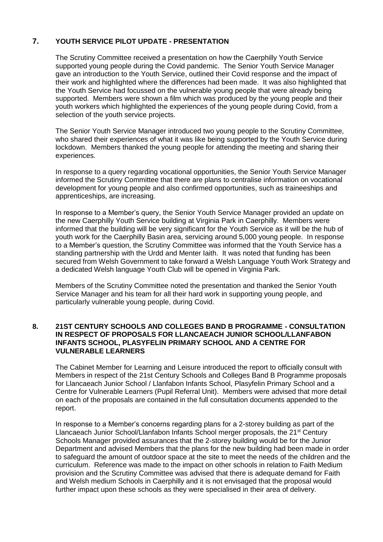# **7. YOUTH SERVICE PILOT UPDATE - PRESENTATION**

The Scrutiny Committee received a presentation on how the Caerphilly Youth Service supported young people during the Covid pandemic. The Senior Youth Service Manager gave an introduction to the Youth Service, outlined their Covid response and the impact of their work and highlighted where the differences had been made. It was also highlighted that the Youth Service had focussed on the vulnerable young people that were already being supported. Members were shown a film which was produced by the young people and their youth workers which highlighted the experiences of the young people during Covid, from a selection of the youth service projects.

The Senior Youth Service Manager introduced two young people to the Scrutiny Committee, who shared their experiences of what it was like being supported by the Youth Service during lockdown. Members thanked the young people for attending the meeting and sharing their experiences.

In response to a query regarding vocational opportunities, the Senior Youth Service Manager informed the Scrutiny Committee that there are plans to centralise information on vocational development for young people and also confirmed opportunities, such as traineeships and apprenticeships, are increasing.

In response to a Member's query, the Senior Youth Service Manager provided an update on the new Caerphilly Youth Service building at Virginia Park in Caerphilly. Members were informed that the building will be very significant for the Youth Service as it will be the hub of youth work for the Caerphilly Basin area, servicing around 5,000 young people. In response to a Member's question, the Scrutiny Committee was informed that the Youth Service has a standing partnership with the Urdd and Menter Iaith. It was noted that funding has been secured from Welsh Government to take forward a Welsh Language Youth Work Strategy and a dedicated Welsh language Youth Club will be opened in Virginia Park.

Members of the Scrutiny Committee noted the presentation and thanked the Senior Youth Service Manager and his team for all their hard work in supporting young people, and particularly vulnerable young people, during Covid.

#### **8. 21ST CENTURY SCHOOLS AND COLLEGES BAND B PROGRAMME - CONSULTATION IN RESPECT OF PROPOSALS FOR LLANCAEACH JUNIOR SCHOOL/LLANFABON INFANTS SCHOOL, PLASYFELIN PRIMARY SCHOOL AND A CENTRE FOR VULNERABLE LEARNERS**

The Cabinet Member for Learning and Leisure introduced the report to officially consult with Members in respect of the 21st Century Schools and Colleges Band B Programme proposals for Llancaeach Junior School / Llanfabon Infants School, Plasyfelin Primary School and a Centre for Vulnerable Learners (Pupil Referral Unit). Members were advised that more detail on each of the proposals are contained in the full consultation documents appended to the report.

In response to a Member's concerns regarding plans for a 2-storey building as part of the Llancaeach Junior School/Llanfabon Infants School merger proposals, the 21<sup>st</sup> Century Schools Manager provided assurances that the 2-storey building would be for the Junior Department and advised Members that the plans for the new building had been made in order to safeguard the amount of outdoor space at the site to meet the needs of the children and the curriculum. Reference was made to the impact on other schools in relation to Faith Medium provision and the Scrutiny Committee was advised that there is adequate demand for Faith and Welsh medium Schools in Caerphilly and it is not envisaged that the proposal would further impact upon these schools as they were specialised in their area of delivery.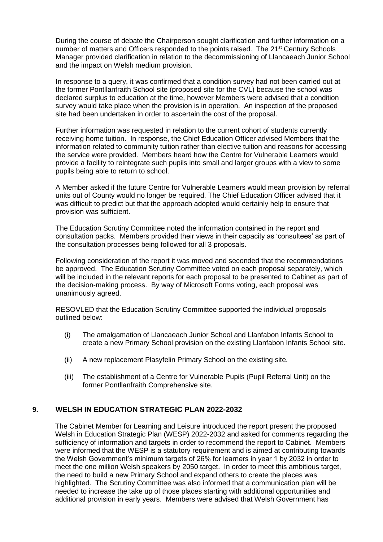During the course of debate the Chairperson sought clarification and further information on a number of matters and Officers responded to the points raised. The 21<sup>st</sup> Century Schools Manager provided clarification in relation to the decommissioning of Llancaeach Junior School and the impact on Welsh medium provision.

In response to a query, it was confirmed that a condition survey had not been carried out at the former Pontllanfraith School site (proposed site for the CVL) because the school was declared surplus to education at the time, however Members were advised that a condition survey would take place when the provision is in operation. An inspection of the proposed site had been undertaken in order to ascertain the cost of the proposal.

Further information was requested in relation to the current cohort of students currently receiving home tuition. In response, the Chief Education Officer advised Members that the information related to community tuition rather than elective tuition and reasons for accessing the service were provided. Members heard how the Centre for Vulnerable Learners would provide a facility to reintegrate such pupils into small and larger groups with a view to some pupils being able to return to school.

A Member asked if the future Centre for Vulnerable Learners would mean provision by referral units out of County would no longer be required. The Chief Education Officer advised that it was difficult to predict but that the approach adopted would certainly help to ensure that provision was sufficient.

The Education Scrutiny Committee noted the information contained in the report and consultation packs. Members provided their views in their capacity as 'consultees' as part of the consultation processes being followed for all 3 proposals.

Following consideration of the report it was moved and seconded that the recommendations be approved. The Education Scrutiny Committee voted on each proposal separately, which will be included in the relevant reports for each proposal to be presented to Cabinet as part of the decision-making process. By way of Microsoft Forms voting, each proposal was unanimously agreed.

RESOVLED that the Education Scrutiny Committee supported the individual proposals outlined below:

- (i) The amalgamation of Llancaeach Junior School and Llanfabon Infants School to create a new Primary School provision on the existing Llanfabon Infants School site.
- (ii) A new replacement Plasyfelin Primary School on the existing site.
- (iii) The establishment of a Centre for Vulnerable Pupils (Pupil Referral Unit) on the former Pontllanfraith Comprehensive site.

## **9. WELSH IN EDUCATION STRATEGIC PLAN 2022-2032**

The Cabinet Member for Learning and Leisure introduced the report present the proposed Welsh in Education Strategic Plan (WESP) 2022-2032 and asked for comments regarding the sufficiency of information and targets in order to recommend the report to Cabinet. Members were informed that the WESP is a statutory requirement and is aimed at contributing towards the Welsh Government's minimum targets of 26% for learners in year 1 by 2032 in order to meet the one million Welsh speakers by 2050 target. In order to meet this ambitious target, the need to build a new Primary School and expand others to create the places was highlighted. The Scrutiny Committee was also informed that a communication plan will be needed to increase the take up of those places starting with additional opportunities and additional provision in early years. Members were advised that Welsh Government has